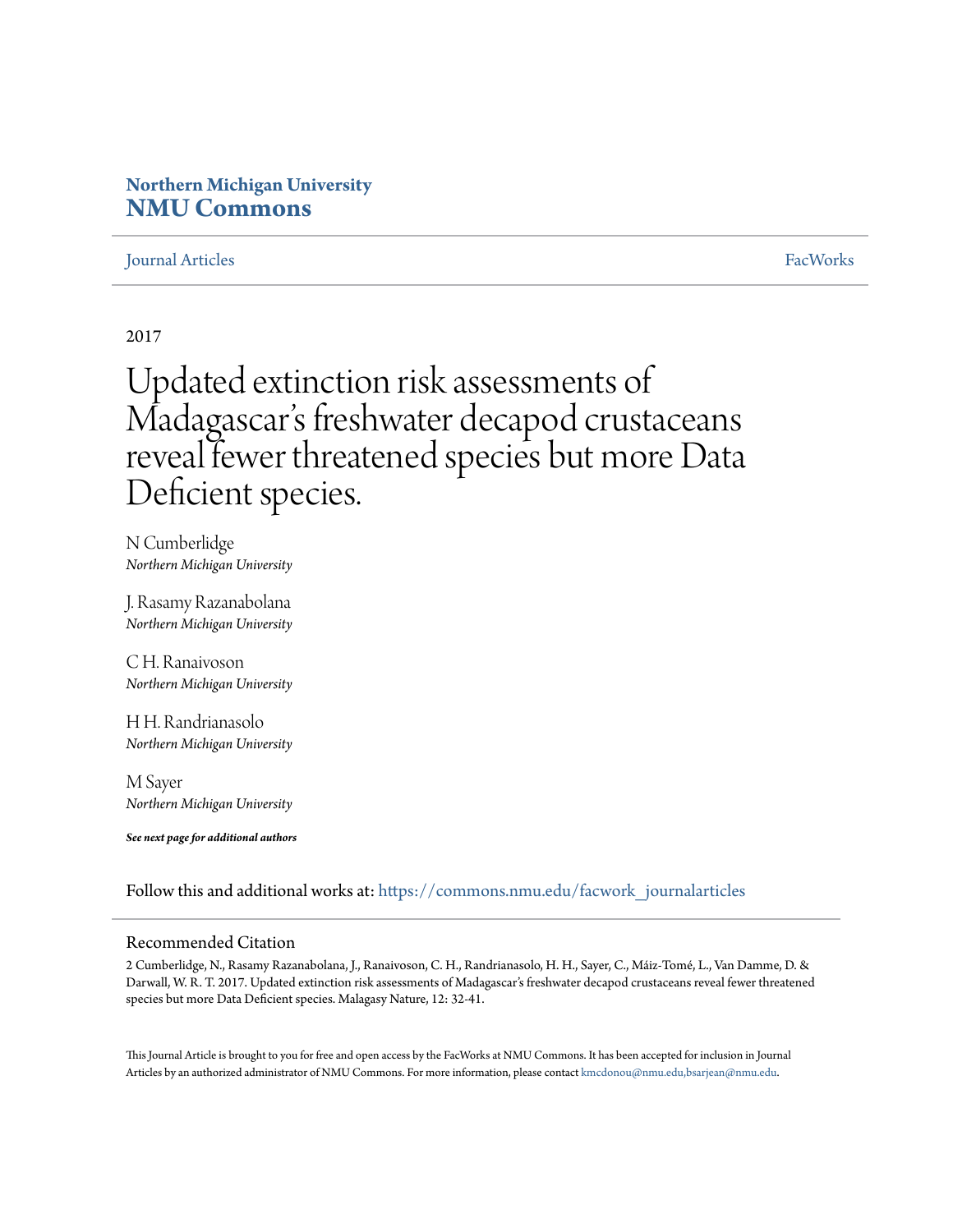# **Northern Michigan University [NMU Commons](https://commons.nmu.edu?utm_source=commons.nmu.edu%2Ffacwork_journalarticles%2F368&utm_medium=PDF&utm_campaign=PDFCoverPages)**

## [Journal Articles](https://commons.nmu.edu/facwork_journalarticles?utm_source=commons.nmu.edu%2Ffacwork_journalarticles%2F368&utm_medium=PDF&utm_campaign=PDFCoverPages) [FacWorks](https://commons.nmu.edu/facworks?utm_source=commons.nmu.edu%2Ffacwork_journalarticles%2F368&utm_medium=PDF&utm_campaign=PDFCoverPages)

2017

# Updated extinction risk assessments of Madagascar 's freshwater decapod crustaceans reveal fewer threatened species but more Data Deficient species.

N Cumberlidge *Northern Michigan University*

J. Rasamy Razanabolana *Northern Michigan University*

C H. Ranaivoson *Northern Michigan University*

H H. Randrianasolo *Northern Michigan University*

M Sayer *Northern Michigan University*

*See next page for additional authors*

Follow this and additional works at: [https://commons.nmu.edu/facwork\\_journalarticles](https://commons.nmu.edu/facwork_journalarticles?utm_source=commons.nmu.edu%2Ffacwork_journalarticles%2F368&utm_medium=PDF&utm_campaign=PDFCoverPages)

#### Recommended Citation

2 Cumberlidge, N., Rasamy Razanabolana, J., Ranaivoson, C. H., Randrianasolo, H. H., Sayer, C., Máiz-Tomé, L., Van Damme, D. & Darwall, W. R. T. 2017. Updated extinction risk assessments of Madagascar's freshwater decapod crustaceans reveal fewer threatened species but more Data Deficient species. Malagasy Nature, 12: 32-41.

This Journal Article is brought to you for free and open access by the FacWorks at NMU Commons. It has been accepted for inclusion in Journal Articles by an authorized administrator of NMU Commons. For more information, please contact [kmcdonou@nmu.edu,bsarjean@nmu.edu](mailto:kmcdonou@nmu.edu,bsarjean@nmu.edu).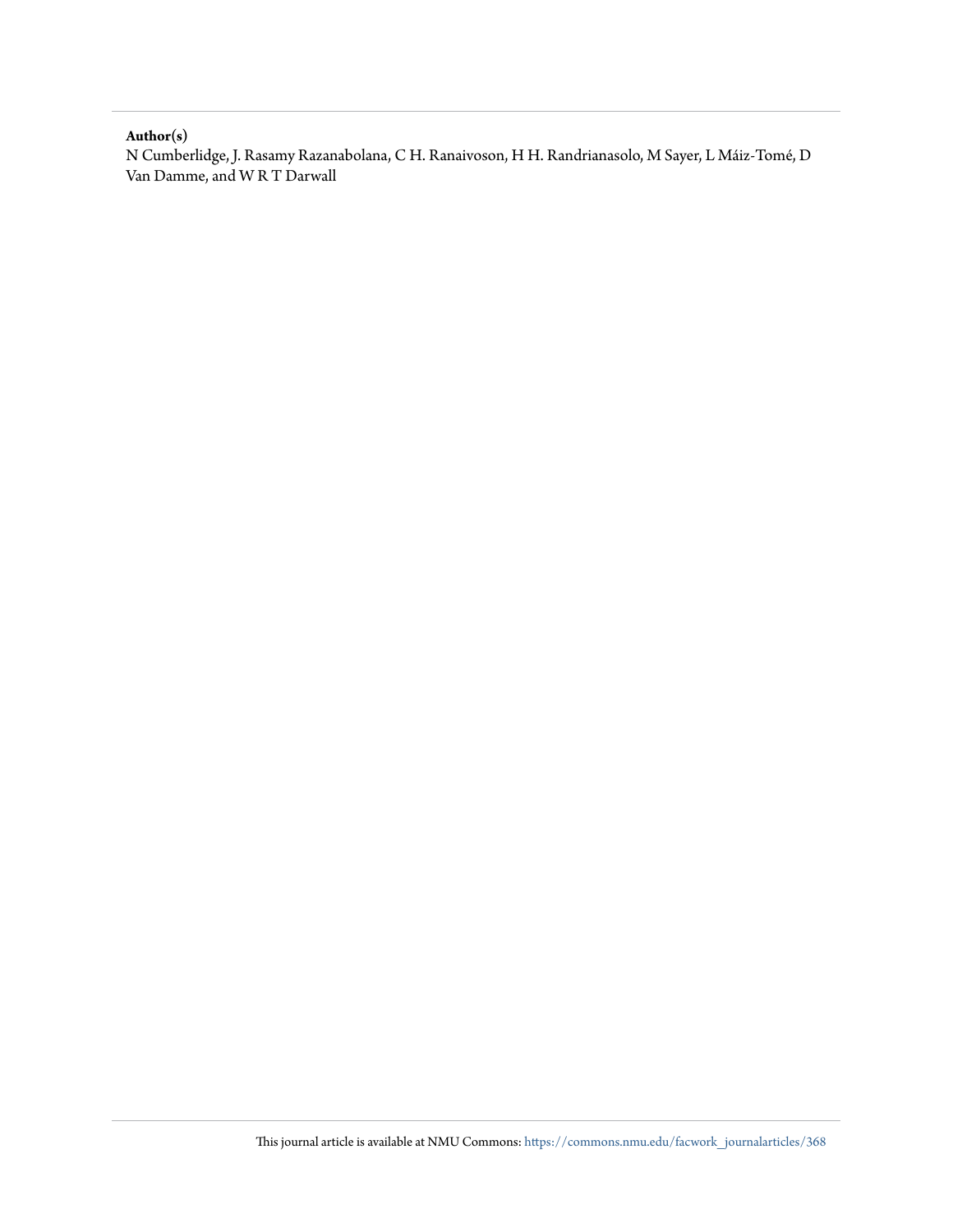#### **Author(s)**

N Cumberlidge, J. Rasamy Razanabolana, C H. Ranaivoson, H H. Randrianasolo, M Sayer, L Máiz-Tomé, D Van Damme, and W R T Darwall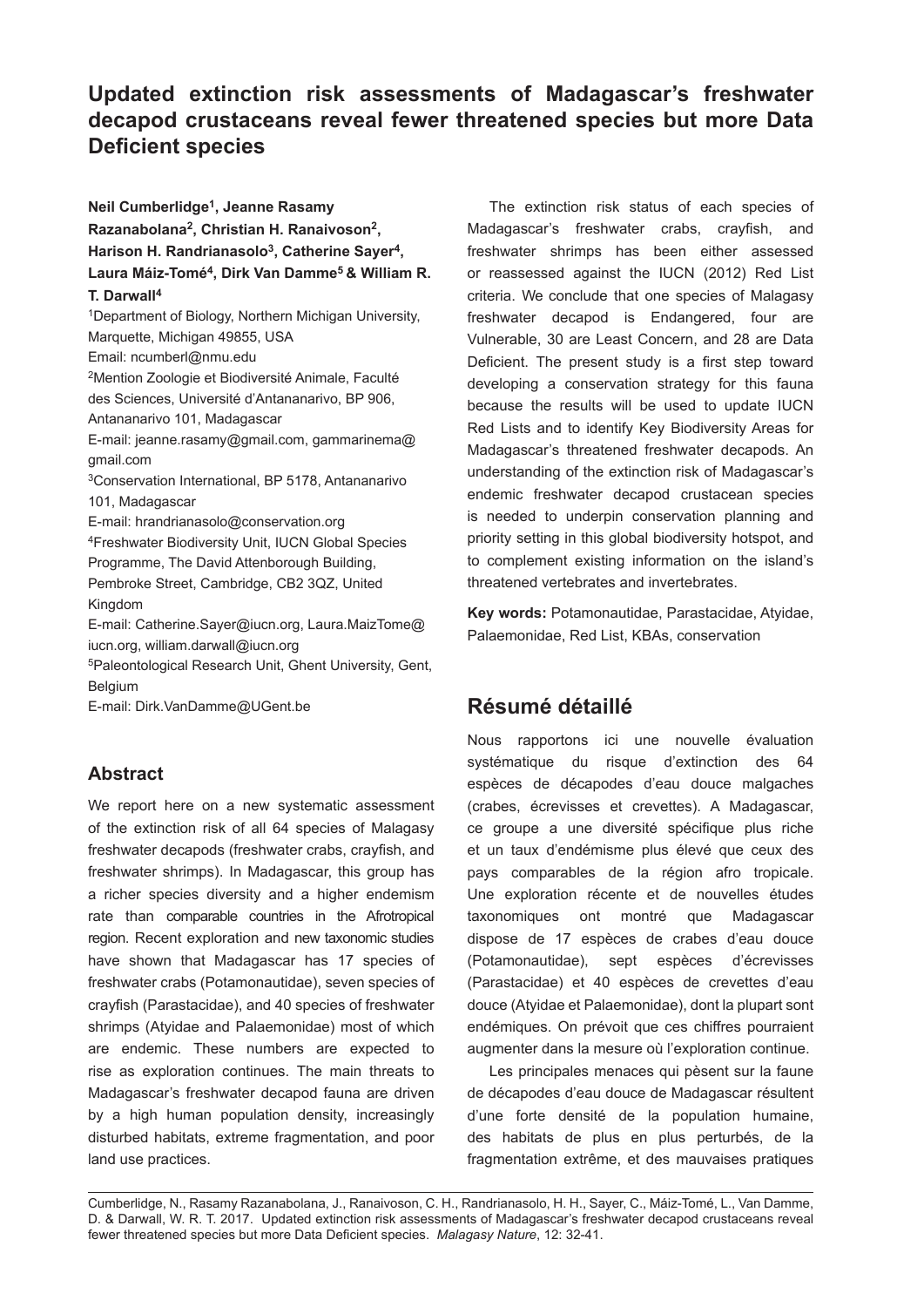# **Updated extinction risk assessments of Madagascar's freshwater decapod crustaceans reveal fewer threatened species but more Data Deficient species**

**Neil Cumberlidge1, Jeanne Rasamy Razanabolana2, Christian H. Ranaivoson2, Harison H. Randrianasolo3, Catherine Sayer4, Laura Máiz-Tomé4, Dirk Van Damme5 & William R. T. Darwall4** 1Department of Biology, Northern Michigan University, Marquette, Michigan 49855, USA Email: ncumberl@nmu.edu 2Mention Zoologie et Biodiversité Animale, Faculté des Sciences, Université d'Antananarivo, BP 906, Antananarivo 101, Madagascar E-mail: jeanne.rasamy@gmail.com, gammarinema@ gmail.com 3Conservation International, BP 5178, Antananarivo 101, Madagascar E-mail: hrandrianasolo@conservation.org 4Freshwater Biodiversity Unit, IUCN Global Species Programme, The David Attenborough Building, Pembroke Street, Cambridge, CB2 3QZ, United Kingdom E-mail: Catherine.Sayer@iucn.org, Laura.MaizTome@ iucn.org, william.darwall@iucn.org 5Paleontological Research Unit, Ghent University, Gent, Belgium

E-mail: Dirk.VanDamme@UGent.be

## **Abstract**

We report here on a new systematic assessment of the extinction risk of all 64 species of Malagasy freshwater decapods (freshwater crabs, crayfish, and freshwater shrimps). In Madagascar, this group has a richer species diversity and a higher endemism rate than comparable countries in the Afrotropical region. Recent exploration and new taxonomic studies have shown that Madagascar has 17 species of freshwater crabs (Potamonautidae), seven species of crayfish (Parastacidae), and 40 species of freshwater shrimps (Atyidae and Palaemonidae) most of which are endemic. These numbers are expected to rise as exploration continues. The main threats to Madagascar's freshwater decapod fauna are driven by a high human population density, increasingly disturbed habitats, extreme fragmentation, and poor land use practices.

The extinction risk status of each species of Madagascar's freshwater crabs, crayfish, and freshwater shrimps has been either assessed or reassessed against the IUCN (2012) Red List criteria. We conclude that one species of Malagasy freshwater decapod is Endangered, four are Vulnerable, 30 are Least Concern, and 28 are Data Deficient. The present study is a first step toward developing a conservation strategy for this fauna because the results will be used to update IUCN Red Lists and to identify Key Biodiversity Areas for Madagascar's threatened freshwater decapods. An understanding of the extinction risk of Madagascar's endemic freshwater decapod crustacean species is needed to underpin conservation planning and priority setting in this global biodiversity hotspot, and to complement existing information on the island's threatened vertebrates and invertebrates.

**Key words:** Potamonautidae, Parastacidae, Atyidae, Palaemonidae, Red List, KBAs, conservation

# **Résumé détaillé**

Nous rapportons ici une nouvelle évaluation systématique du risque d'extinction des 64 espèces de décapodes d'eau douce malgaches (crabes, écrevisses et crevettes). A Madagascar, ce groupe a une diversité spécifique plus riche et un taux d'endémisme plus élevé que ceux des pays comparables de la région afro tropicale. Une exploration récente et de nouvelles études taxonomiques ont montré que Madagascar dispose de 17 espèces de crabes d'eau douce (Potamonautidae), sept espèces d'écrevisses (Parastacidae) et 40 espèces de crevettes d'eau douce (Atyidae et Palaemonidae), dont la plupart sont endémiques. On prévoit que ces chiffres pourraient augmenter dans la mesure où l'exploration continue.

Les principales menaces qui pèsent sur la faune de décapodes d'eau douce de Madagascar résultent d'une forte densité de la population humaine, des habitats de plus en plus perturbés, de la fragmentation extrême, et des mauvaises pratiques

Cumberlidge, N., Rasamy Razanabolana, J., Ranaivoson, C. H., Randrianasolo, H. H., Sayer, C., Máiz-Tomé, L., Van Damme, D. & Darwall, W. R. T. 2017. Updated extinction risk assessments of Madagascar's freshwater decapod crustaceans reveal fewer threatened species but more Data Deficient species. *Malagasy Nature*, 12: 32-41.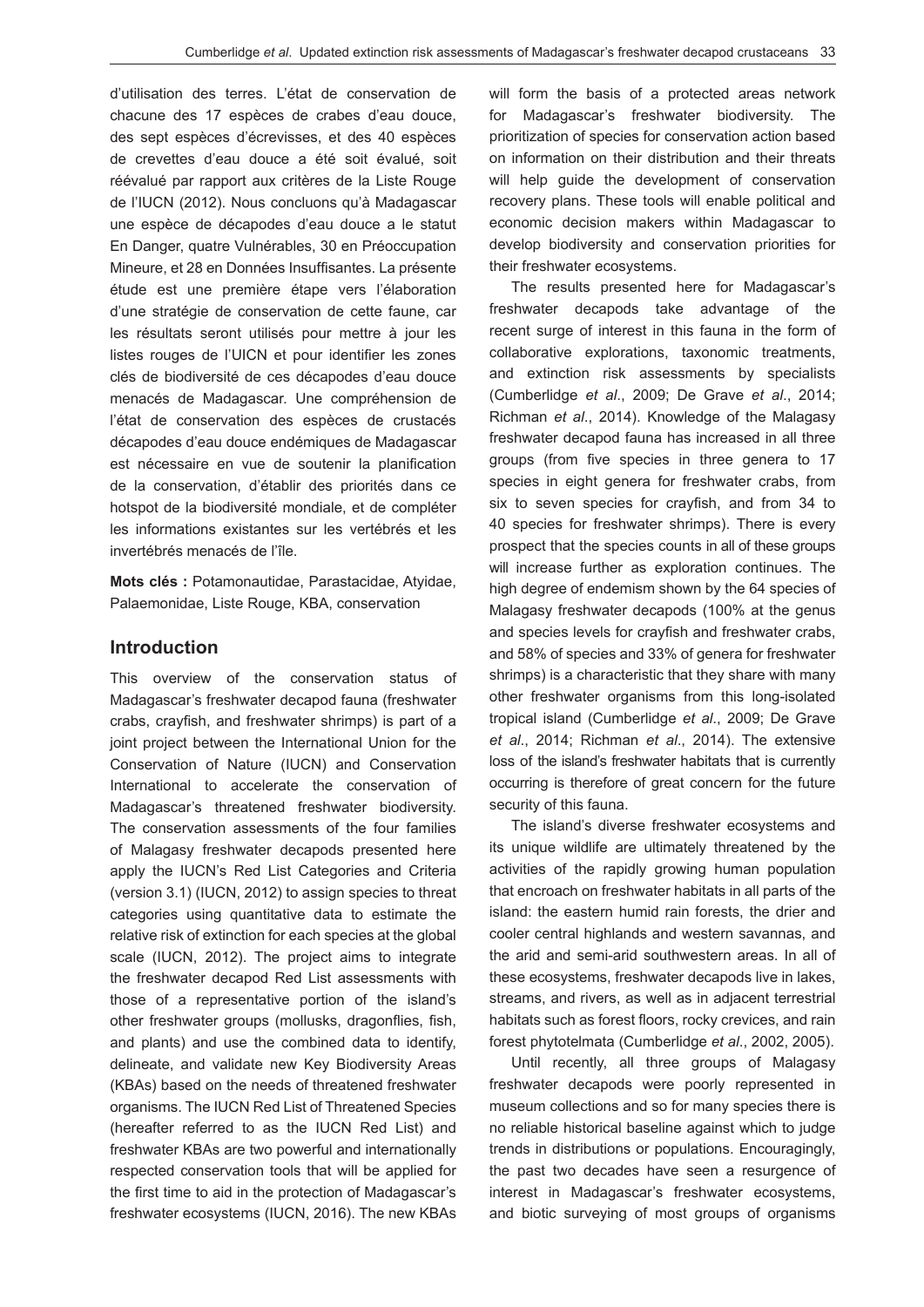d'utilisation des terres. L'état de conservation de chacune des 17 espèces de crabes d'eau douce, des sept espèces d'écrevisses, et des 40 espèces de crevettes d'eau douce a été soit évalué, soit réévalué par rapport aux critères de la Liste Rouge de l'IUCN (2012). Nous concluons qu'à Madagascar une espèce de décapodes d'eau douce a le statut En Danger, quatre Vulnérables, 30 en Préoccupation Mineure, et 28 en Données Insuffisantes. La présente étude est une première étape vers l'élaboration d'une stratégie de conservation de cette faune, car les résultats seront utilisés pour mettre à jour les listes rouges de l'UICN et pour identifier les zones clés de biodiversité de ces décapodes d'eau douce menacés de Madagascar. Une compréhension de l'état de conservation des espèces de crustacés décapodes d'eau douce endémiques de Madagascar est nécessaire en vue de soutenir la planification de la conservation, d'établir des priorités dans ce hotspot de la biodiversité mondiale, et de compléter les informations existantes sur les vertébrés et les invertébrés menacés de l'île.

**Mots clés :** Potamonautidae, Parastacidae, Atyidae, Palaemonidae, Liste Rouge, KBA, conservation

#### **Introduction**

This overview of the conservation status of Madagascar's freshwater decapod fauna (freshwater crabs, crayfish, and freshwater shrimps) is part of a joint project between the International Union for the Conservation of Nature (IUCN) and Conservation International to accelerate the conservation of Madagascar's threatened freshwater biodiversity. The conservation assessments of the four families of Malagasy freshwater decapods presented here apply the IUCN's Red List Categories and Criteria (version 3.1) (IUCN, 2012) to assign species to threat categories using quantitative data to estimate the relative risk of extinction for each species at the global scale (IUCN, 2012). The project aims to integrate the freshwater decapod Red List assessments with those of a representative portion of the island's other freshwater groups (mollusks, dragonflies, fish, and plants) and use the combined data to identify, delineate, and validate new Key Biodiversity Areas (KBAs) based on the needs of threatened freshwater organisms. The IUCN Red List of Threatened Species (hereafter referred to as the IUCN Red List) and freshwater KBAs are two powerful and internationally respected conservation tools that will be applied for the first time to aid in the protection of Madagascar's freshwater ecosystems (IUCN, 2016). The new KBAs will form the basis of a protected areas network for Madagascar's freshwater biodiversity. The prioritization of species for conservation action based on information on their distribution and their threats will help guide the development of conservation recovery plans. These tools will enable political and economic decision makers within Madagascar to develop biodiversity and conservation priorities for their freshwater ecosystems.

The results presented here for Madagascar's freshwater decapods take advantage of the recent surge of interest in this fauna in the form of collaborative explorations, taxonomic treatments, and extinction risk assessments by specialists (Cumberlidge *et al*., 2009; De Grave *et al*., 2014; Richman *et al*., 2014). Knowledge of the Malagasy freshwater decapod fauna has increased in all three groups (from five species in three genera to 17 species in eight genera for freshwater crabs, from six to seven species for crayfish, and from 34 to 40 species for freshwater shrimps). There is every prospect that the species counts in all of these groups will increase further as exploration continues. The high degree of endemism shown by the 64 species of Malagasy freshwater decapods (100% at the genus and species levels for crayfish and freshwater crabs, and 58% of species and 33% of genera for freshwater shrimps) is a characteristic that they share with many other freshwater organisms from this long-isolated tropical island (Cumberlidge *et al*., 2009; De Grave *et al*., 2014; Richman *et al*., 2014). The extensive loss of the island's freshwater habitats that is currently occurring is therefore of great concern for the future security of this fauna.

The island's diverse freshwater ecosystems and its unique wildlife are ultimately threatened by the activities of the rapidly growing human population that encroach on freshwater habitats in all parts of the island: the eastern humid rain forests, the drier and cooler central highlands and western savannas, and the arid and semi-arid southwestern areas. In all of these ecosystems, freshwater decapods live in lakes, streams, and rivers, as well as in adjacent terrestrial habitats such as forest floors, rocky crevices, and rain forest phytotelmata (Cumberlidge *et al*., 2002, 2005).

Until recently, all three groups of Malagasy freshwater decapods were poorly represented in museum collections and so for many species there is no reliable historical baseline against which to judge trends in distributions or populations. Encouragingly, the past two decades have seen a resurgence of interest in Madagascar's freshwater ecosystems, and biotic surveying of most groups of organisms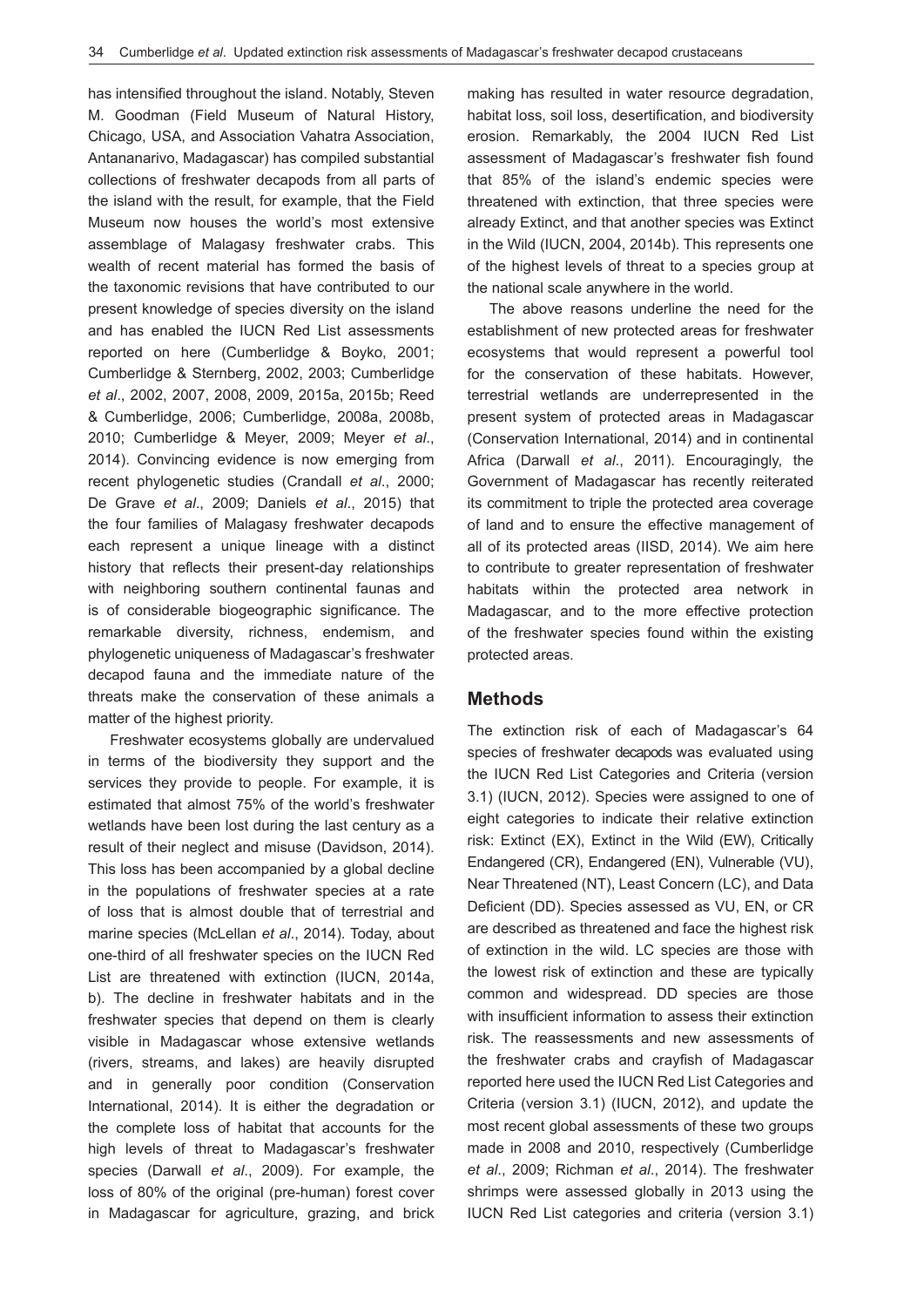has intensified throughout the island. Notably, Steven M. Goodman (Field Museum of Natural History, Chicago, USA, and Association Vahatra Association, Antananarivo, Madagascar) has compiled substantial collections of freshwater decapods from all parts of the island with the result, for example, that the Field Museum now houses the world's most extensive assemblage of Malagasy freshwater crabs. This wealth of recent material has formed the basis of the taxonomic revisions that have contributed to our present knowledge of species diversity on the island and has enabled the IUCN Red List assessments reported on here (Cumberlidge & Boyko, 2001; Cumberlidge & Sternberg, 2002, 2003; Cumberlidge *et al*., 2002, 2007, 2008, 2009, 2015a, 2015b; Reed & Cumberlidge, 2006; Cumberlidge, 2008a, 2008b, 2010; Cumberlidge & Meyer, 2009; Meyer *et al*., 2014). Convincing evidence is now emerging from recent phylogenetic studies (Crandall *et al*., 2000; De Grave *et al*., 2009; Daniels *et al*., 2015) that the four families of Malagasy freshwater decapods each represent a unique lineage with a distinct history that reflects their present-day relationships with neighboring southern continental faunas and is of considerable biogeographic significance. The remarkable diversity, richness, endemism, and phylogenetic uniqueness of Madagascar's freshwater decapod fauna and the immediate nature of the threats make the conservation of these animals a matter of the highest priority.

Freshwater ecosystems globally are undervalued in terms of the biodiversity they support and the services they provide to people. For example, it is estimated that almost 75% of the world's freshwater wetlands have been lost during the last century as a result of their neglect and misuse (Davidson, 2014). This loss has been accompanied by a global decline in the populations of freshwater species at a rate of loss that is almost double that of terrestrial and marine species (McLellan *et al*., 2014). Today, about one-third of all freshwater species on the IUCN Red List are threatened with extinction (IUCN, 2014a, b). The decline in freshwater habitats and in the freshwater species that depend on them is clearly visible in Madagascar whose extensive wetlands (rivers, streams, and lakes) are heavily disrupted and in generally poor condition (Conservation International, 2014). It is either the degradation or the complete loss of habitat that accounts for the high levels of threat to Madagascar's freshwater species (Darwall *et al*., 2009). For example, the loss of 80% of the original (pre-human) forest cover in Madagascar for agriculture, grazing, and brick making has resulted in water resource degradation, habitat loss, soil loss, desertification, and biodiversity erosion. Remarkably, the 2004 IUCN Red List assessment of Madagascar's freshwater fish found that 85% of the island's endemic species were threatened with extinction, that three species were already Extinct, and that another species was Extinct in the Wild (IUCN, 2004, 2014b). This represents one of the highest levels of threat to a species group at the national scale anywhere in the world.

The above reasons underline the need for the establishment of new protected areas for freshwater ecosystems that would represent a powerful tool for the conservation of these habitats. However, terrestrial wetlands are underrepresented in the present system of protected areas in Madagascar (Conservation International, 2014) and in continental Africa (Darwall *et al*., 2011). Encouragingly, the Government of Madagascar has recently reiterated its commitment to triple the protected area coverage of land and to ensure the effective management of all of its protected areas (IISD, 2014). We aim here to contribute to greater representation of freshwater habitats within the protected area network in Madagascar, and to the more effective protection of the freshwater species found within the existing protected areas.

#### **Methods**

The extinction risk of each of Madagascar's 64 species of freshwater decapods was evaluated using the IUCN Red List Categories and Criteria (version 3.1) (IUCN, 2012). Species were assigned to one of eight categories to indicate their relative extinction risk: Extinct (EX), Extinct in the Wild (EW), Critically Endangered (CR), Endangered (EN), Vulnerable (VU), Near Threatened (NT), Least Concern (LC), and Data Deficient (DD). Species assessed as VU, EN, or CR are described as threatened and face the highest risk of extinction in the wild. LC species are those with the lowest risk of extinction and these are typically common and widespread. DD species are those with insufficient information to assess their extinction risk. The reassessments and new assessments of the freshwater crabs and crayfish of Madagascar reported here used the IUCN Red List Categories and Criteria (version 3.1) (IUCN, 2012), and update the most recent global assessments of these two groups made in 2008 and 2010, respectively (Cumberlidge *et al*., 2009; Richman *et al*., 2014). The freshwater shrimps were assessed globally in 2013 using the IUCN Red List categories and criteria (version 3.1)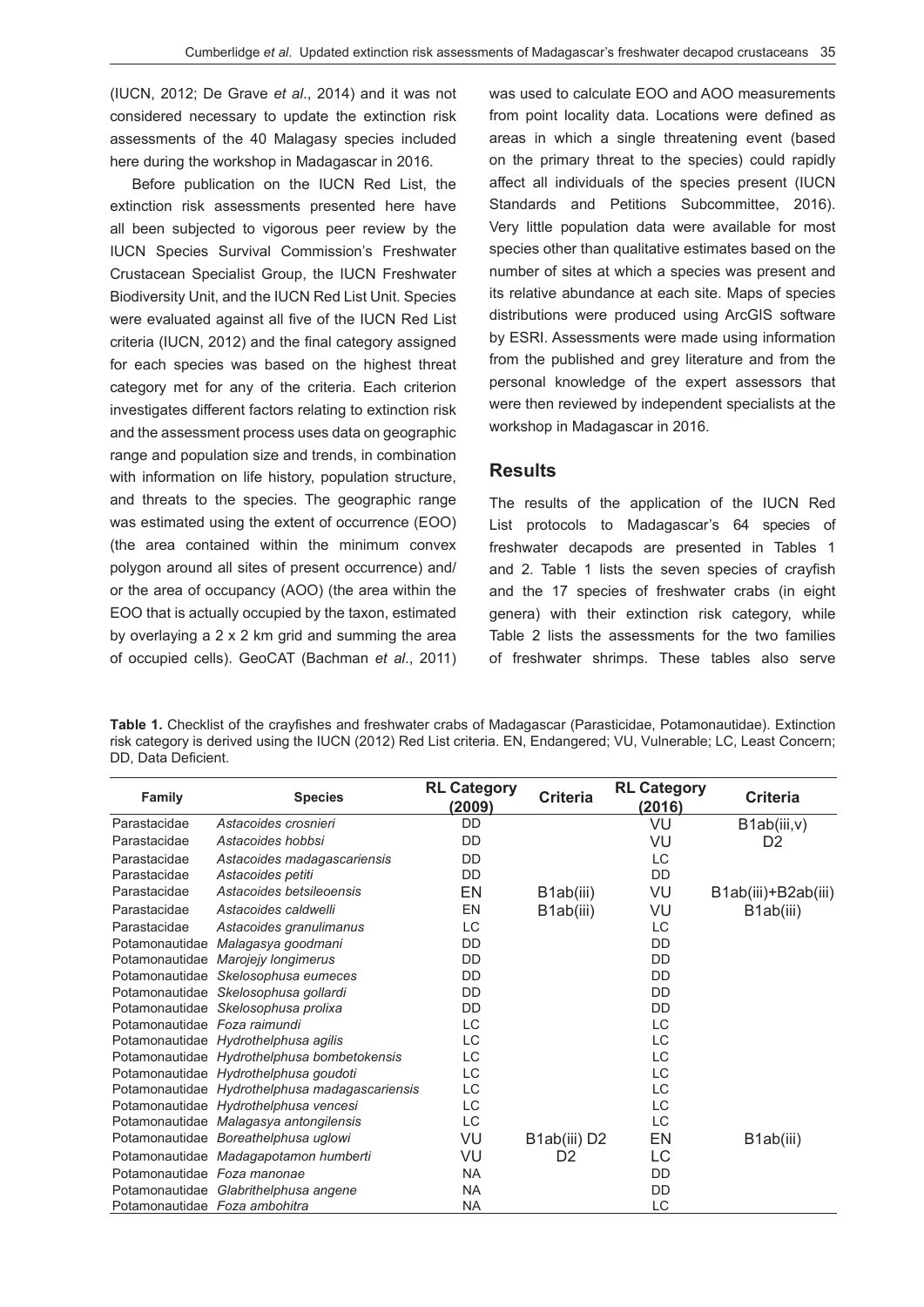(IUCN, 2012; De Grave *et al*., 2014) and it was not considered necessary to update the extinction risk assessments of the 40 Malagasy species included here during the workshop in Madagascar in 2016.

Before publication on the IUCN Red List, the extinction risk assessments presented here have all been subjected to vigorous peer review by the IUCN Species Survival Commission's Freshwater Crustacean Specialist Group, the IUCN Freshwater Biodiversity Unit, and the IUCN Red List Unit. Species were evaluated against all five of the IUCN Red List criteria (IUCN, 2012) and the final category assigned for each species was based on the highest threat category met for any of the criteria. Each criterion investigates different factors relating to extinction risk and the assessment process uses data on geographic range and population size and trends, in combination with information on life history, population structure, and threats to the species. The geographic range was estimated using the extent of occurrence (EOO) (the area contained within the minimum convex polygon around all sites of present occurrence) and/ or the area of occupancy (AOO) (the area within the EOO that is actually occupied by the taxon, estimated by overlaying a 2 x 2 km grid and summing the area of occupied cells). GeoCAT (Bachman *et al*., 2011) was used to calculate EOO and AOO measurements from point locality data. Locations were defined as areas in which a single threatening event (based on the primary threat to the species) could rapidly affect all individuals of the species present (IUCN Standards and Petitions Subcommittee, 2016). Very little population data were available for most species other than qualitative estimates based on the number of sites at which a species was present and its relative abundance at each site. Maps of species distributions were produced using ArcGIS software by ESRI. Assessments were made using information from the published and grey literature and from the personal knowledge of the expert assessors that were then reviewed by independent specialists at the workshop in Madagascar in 2016.

#### **Results**

The results of the application of the IUCN Red List protocols to Madagascar's 64 species of freshwater decapods are presented in Tables 1 and 2. Table 1 lists the seven species of crayfish and the 17 species of freshwater crabs (in eight genera) with their extinction risk category, while Table 2 lists the assessments for the two families of freshwater shrimps. These tables also serve

**Table 1.** Checklist of the crayfishes and freshwater crabs of Madagascar (Parasticidae, Potamonautidae). Extinction risk category is derived using the IUCN (2012) Red List criteria. EN, Endangered; VU, Vulnerable; LC, Least Concern; DD, Data Deficient.

| Family                        | <b>Species</b>                                 | <b>RL Category</b><br>(2009) | <b>Criteria</b> | <b>RL Category</b><br>(2016) | <b>Criteria</b>     |
|-------------------------------|------------------------------------------------|------------------------------|-----------------|------------------------------|---------------------|
| Parastacidae                  | Astacoides crosnieri                           | DD                           |                 | VU                           | B1ab(iii,v)         |
| Parastacidae                  | Astacoides hobbsi                              | DD                           |                 | VU                           | D <sub>2</sub>      |
| Parastacidae                  | Astacoides madagascariensis                    | DD                           |                 | LC                           |                     |
| Parastacidae                  | Astacoides petiti                              | DD                           |                 | DD                           |                     |
| Parastacidae                  | Astacoides betsileoensis                       | EN                           | B1ab(iii)       | VU                           | B1ab(iii)+B2ab(iii) |
| Parastacidae                  | Astacoides caldwelli                           | EN                           | B1ab(iii)       | VU                           | B1ab(iii)           |
| Parastacidae                  | Astacoides granulimanus                        | LC                           |                 | LC                           |                     |
|                               | Potamonautidae Malagasya goodmani              | DD                           |                 | DD                           |                     |
|                               | Potamonautidae Marojejy longimerus             | DD                           |                 | DD                           |                     |
|                               | Potamonautidae Skelosophusa eumeces            | DD                           |                 | <b>DD</b>                    |                     |
|                               | Potamonautidae Skelosophusa gollardi           | DD                           |                 | DD                           |                     |
|                               | Potamonautidae Skelosophusa prolixa            | DD                           |                 | DD                           |                     |
| Potamonautidae Foza raimundi  |                                                | LC                           |                 | LC                           |                     |
|                               | Potamonautidae Hydrothelphusa agilis           | LС                           |                 | <b>LC</b>                    |                     |
|                               | Potamonautidae Hydrothelphusa bombetokensis    | LC                           |                 | LC                           |                     |
|                               | Potamonautidae Hydrothelphusa goudoti          | LC                           |                 | <b>LC</b>                    |                     |
|                               | Potamonautidae Hydrothelphusa madagascariensis | LC                           |                 | LC                           |                     |
|                               | Potamonautidae Hydrothelphusa vencesi          | LC                           |                 | LC                           |                     |
|                               | Potamonautidae Malagasya antongilensis         | LC                           |                 | LC                           |                     |
|                               | Potamonautidae Boreathelphusa uglowi           | VU                           | B1ab(iii) D2    | EN                           | B1ab(iii)           |
|                               | Potamonautidae Madagapotamon humberti          | VU                           | D <sub>2</sub>  | LC                           |                     |
| Potamonautidae Foza manonae   |                                                | <b>NA</b>                    |                 | DD                           |                     |
|                               | Potamonautidae Glabrithelphusa angene          | <b>NA</b>                    |                 | DD                           |                     |
| Potamonautidae Foza ambohitra |                                                | <b>NA</b>                    |                 | LC                           |                     |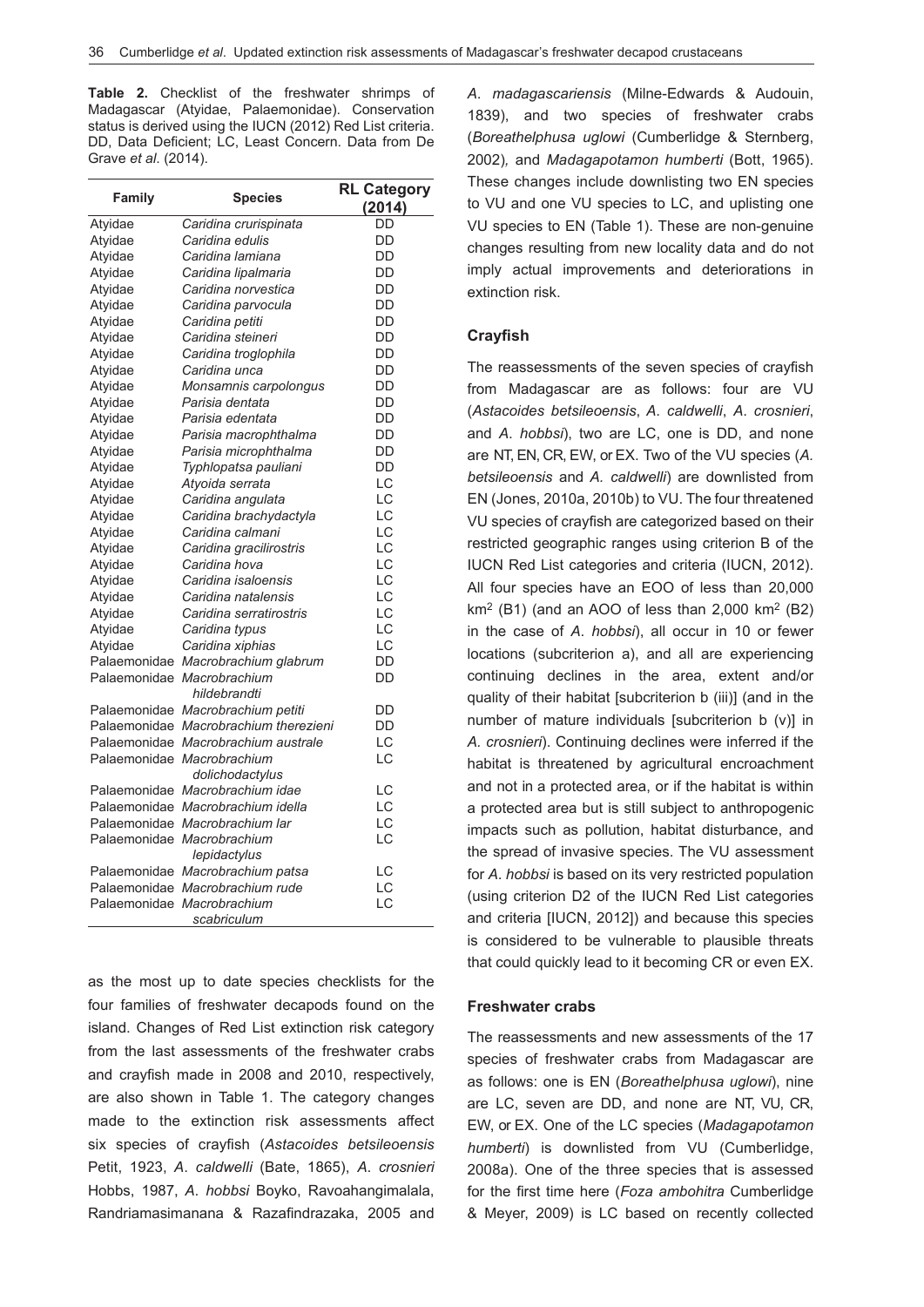**Table 2.** Checklist of the freshwater shrimps of Madagascar (Atyidae, Palaemonidae). Conservation status is derived using the IUCN (2012) Red List criteria. DD, Data Deficient; LC, Least Concern. Data from De Grave *et al*. (2014).

|              |                                       | <b>RL Category</b> |
|--------------|---------------------------------------|--------------------|
| Family       | <b>Species</b>                        | (2014)             |
| Atyidae      | Caridina crurispinata                 | DD                 |
| Atyidae      | Caridina edulis                       | DD                 |
| Atyidae      | Caridina lamiana                      | DD                 |
| Atyidae      | Caridina lipalmaria                   | DD                 |
| Atyidae      | Caridina norvestica                   | DD                 |
| Atyidae      | Caridina parvocula                    | DD                 |
| Atyidae      | Caridina petiti                       | DD                 |
| Atyidae      | Caridina steineri                     | DD                 |
| Atyidae      | Caridina troglophila                  | DD                 |
| Atyidae      | Caridina unca                         | DD                 |
| Atyidae      | Monsamnis carpolongus                 | DD                 |
| Atyidae      | Parisia dentata                       | DD                 |
| Atyidae      | Parisia edentata                      | DD                 |
| Atyidae      | Parisia macrophthalma                 | DD                 |
| Atyidae      | Parisia microphthalma                 | DD                 |
| Atyidae      | Typhlopatsa pauliani                  | DD                 |
| Atyidae      | Atyoida serrata                       | LC                 |
| Atyidae      | Caridina angulata                     | LC                 |
| Atyidae      | Caridina brachydactyla                | LC                 |
| Atyidae      | Caridina calmani                      | LC                 |
| Atyidae      | Caridina gracilirostris               | LC                 |
| Atyidae      | Caridina hova                         | LC                 |
| Atyidae      | Caridina isaloensis                   | LC                 |
| Atyidae      | Caridina natalensis                   | LC                 |
| Atyidae      | Caridina serratirostris               | LC                 |
| Atyidae      | Caridina typus                        | LC                 |
| Atyidae      | Caridina xiphias                      | LC                 |
|              | Palaemonidae Macrobrachium glabrum    | DD                 |
| Palaemonidae | Macrobrachium                         | DD                 |
|              | hildebrandti                          |                    |
|              | Palaemonidae Macrobrachium petiti     | DD                 |
|              | Palaemonidae Macrobrachium therezieni | DD                 |
|              | Palaemonidae Macrobrachium australe   | LC                 |
| Palaemonidae | Macrobrachium                         | LC                 |
|              | dolichodactylus                       |                    |
|              | Palaemonidae Macrobrachium idae       | LC                 |
|              | Palaemonidae Macrobrachium idella     | LC                 |
| Palaemonidae | Macrobrachium lar                     | LC                 |
| Palaemonidae | Macrobrachium                         | LC                 |
|              | lepidactylus                          |                    |
|              | Palaemonidae Macrobrachium patsa      | LC                 |
|              | Palaemonidae Macrobrachium rude       | LC                 |
| Palaemonidae | Macrobrachium                         | LC                 |
|              | scabriculum                           |                    |
|              |                                       |                    |

as the most up to date species checklists for the four families of freshwater decapods found on the island. Changes of Red List extinction risk category from the last assessments of the freshwater crabs and crayfish made in 2008 and 2010, respectively, are also shown in Table 1. The category changes made to the extinction risk assessments affect six species of crayfish (*Astacoides betsileoensis*  Petit, 1923, *A*. *caldwelli* (Bate, 1865), *A*. *crosnieri*  Hobbs, 1987, *A*. *hobbsi* Boyko, Ravoahangimalala, Randriamasimanana & Razafindrazaka, 2005 and

*A*. *madagascariensis* (Milne-Edwards & Audouin, 1839), and two species of freshwater crabs (*Boreathelphusa uglowi* (Cumberlidge & Sternberg, 2002)*,* and *Madagapotamon humberti* (Bott, 1965). These changes include downlisting two EN species to VU and one VU species to LC, and uplisting one VU species to EN (Table 1). These are non-genuine changes resulting from new locality data and do not imply actual improvements and deteriorations in extinction risk.

#### **Crayfish**

The reassessments of the seven species of crayfish from Madagascar are as follows: four are VU (*Astacoides betsileoensis*, *A*. *caldwelli*, *A*. *crosnieri*, and *A*. *hobbsi*), two are LC, one is DD, and none are NT, EN, CR, EW, or EX. Two of the VU species (*A. betsileoensis* and *A. caldwelli*) are downlisted from EN (Jones, 2010a, 2010b) to VU. The four threatened VU species of crayfish are categorized based on their restricted geographic ranges using criterion B of the IUCN Red List categories and criteria (IUCN, 2012). All four species have an EOO of less than 20,000  $km<sup>2</sup>$  (B1) (and an AOO of less than 2,000 km<sup>2</sup> (B2) in the case of *A*. *hobbsi*), all occur in 10 or fewer locations (subcriterion a), and all are experiencing continuing declines in the area, extent and/or quality of their habitat [subcriterion b (iii)] (and in the number of mature individuals [subcriterion b (v)] in *A. crosnieri*). Continuing declines were inferred if the habitat is threatened by agricultural encroachment and not in a protected area, or if the habitat is within a protected area but is still subject to anthropogenic impacts such as pollution, habitat disturbance, and the spread of invasive species. The VU assessment for *A*. *hobbsi* is based on its very restricted population (using criterion D2 of the IUCN Red List categories and criteria [IUCN, 2012]) and because this species is considered to be vulnerable to plausible threats that could quickly lead to it becoming CR or even EX.

#### **Freshwater crabs**

The reassessments and new assessments of the 17 species of freshwater crabs from Madagascar are as follows: one is EN (*Boreathelphusa uglowi*), nine are LC, seven are DD, and none are NT, VU, CR, EW, or EX. One of the LC species (*Madagapotamon humberti*) is downlisted from VU (Cumberlidge, 2008a). One of the three species that is assessed for the first time here (*Foza ambohitra* Cumberlidge & Meyer, 2009) is LC based on recently collected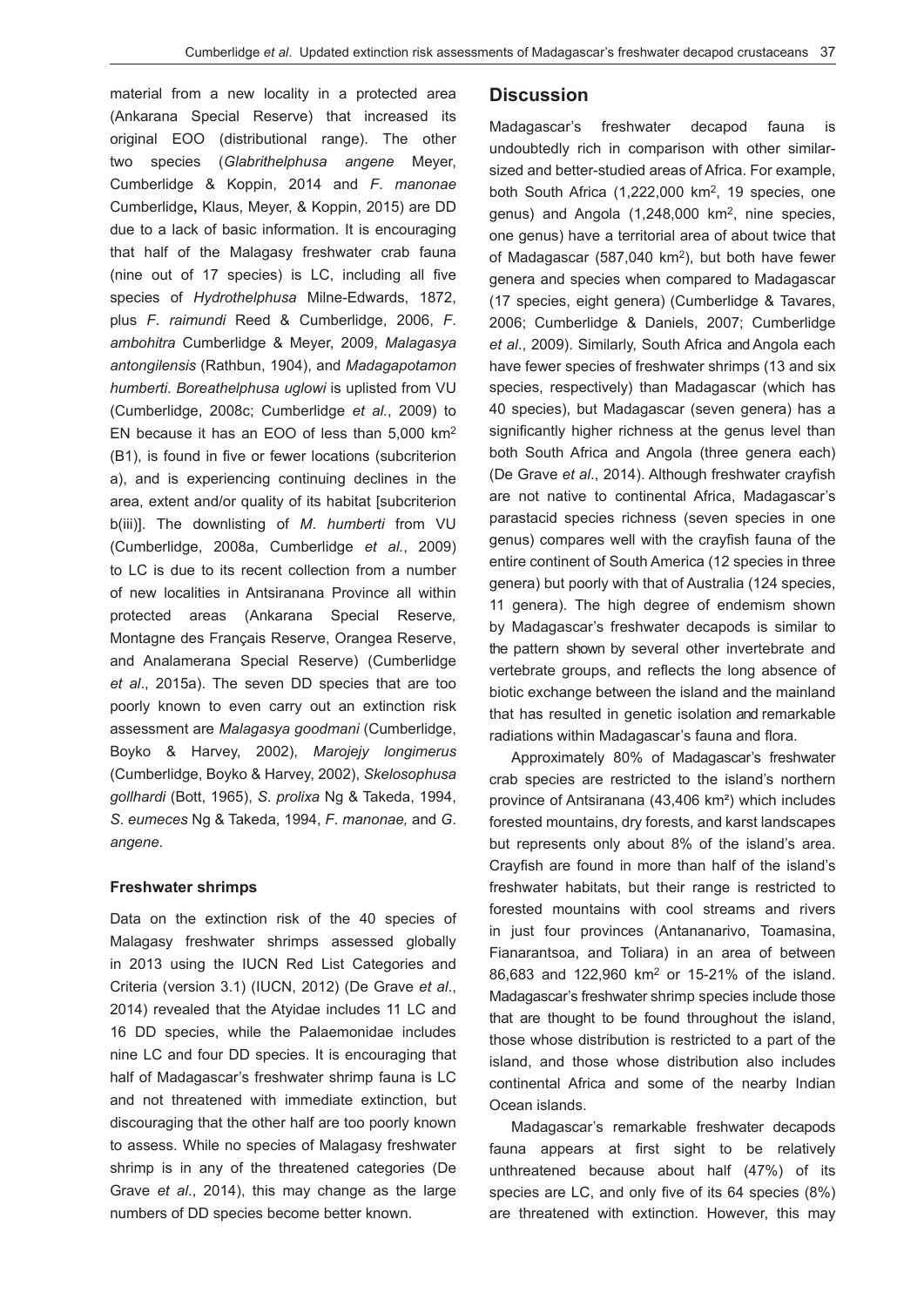material from a new locality in a protected area (Ankarana Special Reserve) that increased its original EOO (distributional range). The other two species (*Glabrithelphusa angene* Meyer, Cumberlidge & Koppin, 2014 and *F*. *manonae*  Cumberlidge**,** Klaus, Meyer, & Koppin, 2015) are DD due to a lack of basic information. It is encouraging that half of the Malagasy freshwater crab fauna (nine out of 17 species) is LC, including all five species of *Hydrothelphusa* Milne-Edwards, 1872, plus *F*. *raimundi* Reed & Cumberlidge, 2006, *F*. *ambohitra* Cumberlidge & Meyer, 2009, *Malagasya antongilensis* (Rathbun, 1904), and *Madagapotamon humberti*. *Boreathelphusa uglowi* is uplisted from VU (Cumberlidge, 2008c; Cumberlidge *et al.*, 2009) to EN because it has an EOO of less than 5,000 km2 (B1), is found in five or fewer locations (subcriterion a), and is experiencing continuing declines in the area, extent and/or quality of its habitat [subcriterion b(iii)]. The downlisting of *M*. *humberti* from VU (Cumberlidge, 2008a, Cumberlidge *et al.*, 2009) to LC is due to its recent collection from a number of new localities in Antsiranana Province all within protected areas (Ankarana Special Reserve*,*  Montagne des Français Reserve, Orangea Reserve, and Analamerana Special Reserve) (Cumberlidge *et al*., 2015a). The seven DD species that are too poorly known to even carry out an extinction risk assessment are *Malagasya goodmani* (Cumberlidge, Boyko & Harvey, 2002), *Marojejy longimerus*  (Cumberlidge, Boyko & Harvey, 2002), *Skelosophusa gollhardi* (Bott, 1965), *S*. *prolixa* Ng & Takeda, 1994, *S*. *eumeces* Ng & Takeda, 1994, *F*. *manonae,* and *G*. *angene*.

#### **Freshwater shrimps**

Data on the extinction risk of the 40 species of Malagasy freshwater shrimps assessed globally in 2013 using the IUCN Red List Categories and Criteria (version 3.1) (IUCN, 2012) (De Grave *et al*., 2014) revealed that the Atyidae includes 11 LC and 16 DD species, while the Palaemonidae includes nine LC and four DD species. It is encouraging that half of Madagascar's freshwater shrimp fauna is LC and not threatened with immediate extinction, but discouraging that the other half are too poorly known to assess. While no species of Malagasy freshwater shrimp is in any of the threatened categories (De Grave *et al*., 2014), this may change as the large numbers of DD species become better known.

#### **Discussion**

Madagascar's freshwater decapod fauna is undoubtedly rich in comparison with other similarsized and better-studied areas of Africa. For example, both South Africa  $(1,222,000 \text{ km}^2, 19 \text{ species}, \text{ one})$ genus) and Angola (1,248,000 km2, nine species, one genus) have a territorial area of about twice that of Madagascar (587,040 km2), but both have fewer genera and species when compared to Madagascar (17 species, eight genera) (Cumberlidge & Tavares, 2006; Cumberlidge & Daniels, 2007; Cumberlidge *et al*., 2009). Similarly, South Africa and Angola each have fewer species of freshwater shrimps (13 and six species, respectively) than Madagascar (which has 40 species), but Madagascar (seven genera) has a significantly higher richness at the genus level than both South Africa and Angola (three genera each) (De Grave *et al*., 2014). Although freshwater crayfish are not native to continental Africa, Madagascar's parastacid species richness (seven species in one genus) compares well with the crayfish fauna of the entire continent of South America (12 species in three genera) but poorly with that of Australia (124 species, 11 genera). The high degree of endemism shown by Madagascar's freshwater decapods is similar to the pattern shown by several other invertebrate and vertebrate groups, and reflects the long absence of biotic exchange between the island and the mainland that has resulted in genetic isolation and remarkable radiations within Madagascar's fauna and flora.

Approximately 80% of Madagascar's freshwater crab species are restricted to the island's northern province of Antsiranana (43,406 km²) which includes forested mountains, dry forests, and karst landscapes but represents only about 8% of the island's area. Crayfish are found in more than half of the island's freshwater habitats, but their range is restricted to forested mountains with cool streams and rivers in just four provinces (Antananarivo, Toamasina, Fianarantsoa, and Toliara) in an area of between 86,683 and 122,960 km2 or 15-21% of the island. Madagascar's freshwater shrimp species include those that are thought to be found throughout the island, those whose distribution is restricted to a part of the island, and those whose distribution also includes continental Africa and some of the nearby Indian Ocean islands.

Madagascar's remarkable freshwater decapods fauna appears at first sight to be relatively unthreatened because about half (47%) of its species are LC, and only five of its 64 species (8%) are threatened with extinction. However, this may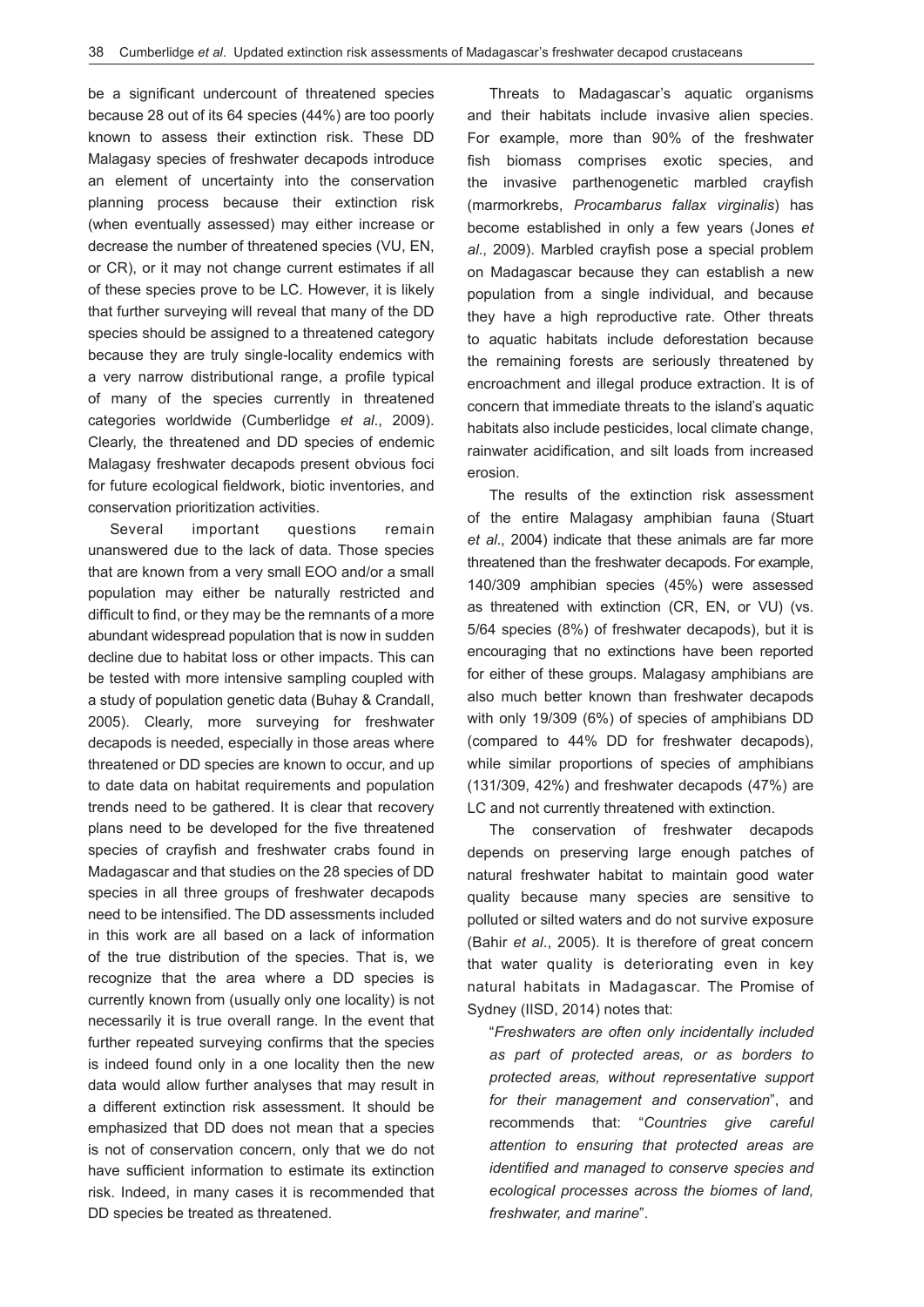be a significant undercount of threatened species because 28 out of its 64 species (44%) are too poorly known to assess their extinction risk. These DD Malagasy species of freshwater decapods introduce an element of uncertainty into the conservation planning process because their extinction risk (when eventually assessed) may either increase or decrease the number of threatened species (VU, EN, or CR), or it may not change current estimates if all of these species prove to be LC. However, it is likely that further surveying will reveal that many of the DD species should be assigned to a threatened category because they are truly single-locality endemics with a very narrow distributional range, a profile typical of many of the species currently in threatened categories worldwide (Cumberlidge *et al*., 2009). Clearly, the threatened and DD species of endemic Malagasy freshwater decapods present obvious foci for future ecological fieldwork, biotic inventories, and conservation prioritization activities.

Several important questions remain unanswered due to the lack of data. Those species that are known from a very small EOO and/or a small population may either be naturally restricted and difficult to find, or they may be the remnants of a more abundant widespread population that is now in sudden decline due to habitat loss or other impacts. This can be tested with more intensive sampling coupled with a study of population genetic data (Buhay & Crandall, 2005). Clearly, more surveying for freshwater decapods is needed, especially in those areas where threatened or DD species are known to occur, and up to date data on habitat requirements and population trends need to be gathered. It is clear that recovery plans need to be developed for the five threatened species of crayfish and freshwater crabs found in Madagascar and that studies on the 28 species of DD species in all three groups of freshwater decapods need to be intensified. The DD assessments included in this work are all based on a lack of information of the true distribution of the species. That is, we recognize that the area where a DD species is currently known from (usually only one locality) is not necessarily it is true overall range. In the event that further repeated surveying confirms that the species is indeed found only in a one locality then the new data would allow further analyses that may result in a different extinction risk assessment. It should be emphasized that DD does not mean that a species is not of conservation concern, only that we do not have sufficient information to estimate its extinction risk. Indeed, in many cases it is recommended that DD species be treated as threatened.

Threats to Madagascar's aquatic organisms and their habitats include invasive alien species. For example, more than 90% of the freshwater fish biomass comprises exotic species, and the invasive parthenogenetic marbled crayfish (marmorkrebs, *Procambarus fallax virginalis*) has become established in only a few years (Jones *et al*., 2009). Marbled crayfish pose a special problem on Madagascar because they can establish a new population from a single individual, and because they have a high reproductive rate. Other threats to aquatic habitats include deforestation because the remaining forests are seriously threatened by encroachment and illegal produce extraction. It is of concern that immediate threats to the island's aquatic habitats also include pesticides, local climate change, rainwater acidification, and silt loads from increased erosion.

The results of the extinction risk assessment of the entire Malagasy amphibian fauna (Stuart *et al*., 2004) indicate that these animals are far more threatened than the freshwater decapods. For example, 140/309 amphibian species (45%) were assessed as threatened with extinction (CR, EN, or VU) (vs. 5/64 species (8%) of freshwater decapods), but it is encouraging that no extinctions have been reported for either of these groups. Malagasy amphibians are also much better known than freshwater decapods with only 19/309 (6%) of species of amphibians DD (compared to 44% DD for freshwater decapods), while similar proportions of species of amphibians (131/309, 42%) and freshwater decapods (47%) are LC and not currently threatened with extinction.

The conservation of freshwater decapods depends on preserving large enough patches of natural freshwater habitat to maintain good water quality because many species are sensitive to polluted or silted waters and do not survive exposure (Bahir *et al*., 2005). It is therefore of great concern that water quality is deteriorating even in key natural habitats in Madagascar. The Promise of Sydney (IISD, 2014) notes that:

"*Freshwaters are often only incidentally included as part of protected areas, or as borders to protected areas, without representative support for their management and conservation*", and recommends that: "*Countries give careful attention to ensuring that protected areas are identified and managed to conserve species and ecological processes across the biomes of land, freshwater, and marine*".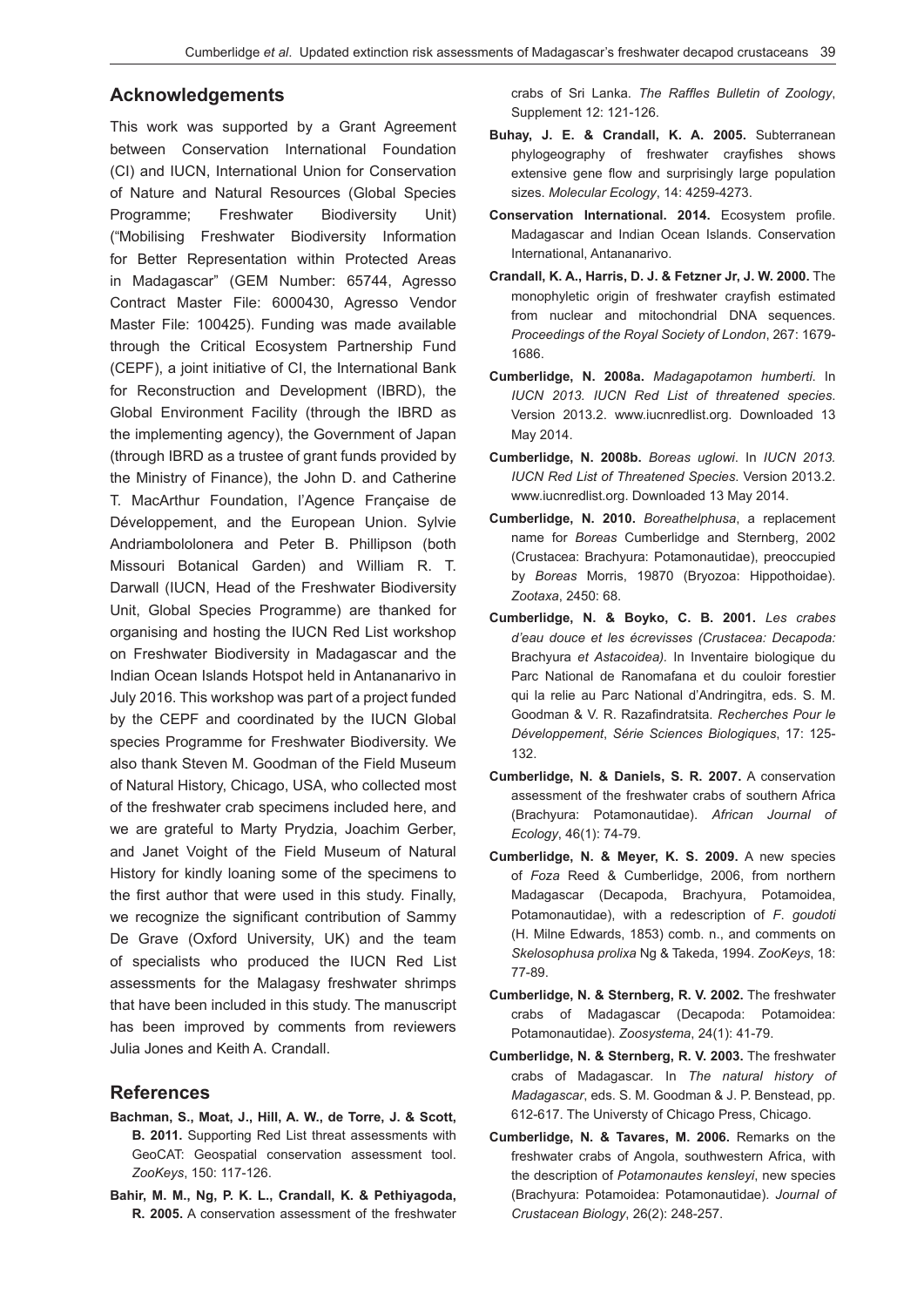## **Acknowledgements**

This work was supported by a Grant Agreement between Conservation International Foundation (CI) and IUCN, International Union for Conservation of Nature and Natural Resources (Global Species Programme; Freshwater Biodiversity Unit) ("Mobilising Freshwater Biodiversity Information for Better Representation within Protected Areas in Madagascar" (GEM Number: 65744, Agresso Contract Master File: 6000430, Agresso Vendor Master File: 100425). Funding was made available through the Critical Ecosystem Partnership Fund (CEPF), a joint initiative of CI, the International Bank for Reconstruction and Development (IBRD), the Global Environment Facility (through the IBRD as the implementing agency), the Government of Japan (through IBRD as a trustee of grant funds provided by the Ministry of Finance), the John D. and Catherine T. MacArthur Foundation, l'Agence Française de Développement, and the European Union. Sylvie Andriambololonera and Peter B. Phillipson (both Missouri Botanical Garden) and William R. T. Darwall (IUCN, Head of the Freshwater Biodiversity Unit, Global Species Programme) are thanked for organising and hosting the IUCN Red List workshop on Freshwater Biodiversity in Madagascar and the Indian Ocean Islands Hotspot held in Antananarivo in July 2016. This workshop was part of a project funded by the CEPF and coordinated by the IUCN Global species Programme for Freshwater Biodiversity. We also thank Steven M. Goodman of the Field Museum of Natural History, Chicago, USA, who collected most of the freshwater crab specimens included here, and we are grateful to Marty Prydzia, Joachim Gerber, and Janet Voight of the Field Museum of Natural History for kindly loaning some of the specimens to the first author that were used in this study. Finally, we recognize the significant contribution of Sammy De Grave (Oxford University, UK) and the team of specialists who produced the IUCN Red List assessments for the Malagasy freshwater shrimps that have been included in this study. The manuscript has been improved by comments from reviewers Julia Jones and Keith A. Crandall.

### **References**

- **Bachman, S., Moat, J., Hill, A. W., de Torre, J. & Scott, B. 2011.** Supporting Red List threat assessments with GeoCAT: Geospatial conservation assessment tool. *ZooKeys*, 150: 117-126.
- **Bahir, M. M., Ng, P. K. L., Crandall, K. & Pethiyagoda, R. 2005.** A conservation assessment of the freshwater

crabs of Sri Lanka. *The Raffles Bulletin of Zoology*, Supplement 12: 121-126.

- **Buhay, J. E. & Crandall, K. A. 2005.** Subterranean phylogeography of freshwater crayfishes shows extensive gene flow and surprisingly large population sizes. *Molecular Ecology*, 14: 4259-4273.
- **Conservation International. 2014.** Ecosystem profile. Madagascar and Indian Ocean Islands. Conservation International, Antananarivo.
- **Crandall, K. A., Harris, D. J. & Fetzner Jr, J. W. 2000.** The monophyletic origin of freshwater crayfish estimated from nuclear and mitochondrial DNA sequences. *Proceedings of the Royal Society of London*, 267: 1679- 1686.
- **Cumberlidge, N. 2008a.** *Madagapotamon humberti*. In *IUCN 2013. IUCN Red List of threatened species*. Version 2013.2. www.iucnredlist.org. Downloaded 13 May 2014.
- **Cumberlidge, N. 2008b.** *Boreas uglowi*. In *IUCN 2013. IUCN Red List of Threatened Species*. Version 2013.2. www.iucnredlist.org. Downloaded 13 May 2014.
- **Cumberlidge, N. 2010.** *Boreathelphusa*, a replacement name for *Boreas* Cumberlidge and Sternberg, 2002 (Crustacea: Brachyura: Potamonautidae), preoccupied by *Boreas* Morris, 19870 (Bryozoa: Hippothoidae). *Zootaxa*, 2450: 68.
- **Cumberlidge, N. & Boyko, C. B. 2001.** *Les crabes d'eau douce et les écrevisses (Crustacea: Decapoda:*  Brachyura *et Astacoidea).* In Inventaire biologique du Parc National de Ranomafana et du couloir forestier qui la relie au Parc National d'Andringitra, eds. S. M. Goodman & V. R. Razafindratsita. *Recherches Pour le Développement*, *Série Sciences Biologiques*, 17: 125- 132.
- **Cumberlidge, N. & Daniels, S. R. 2007.** A conservation assessment of the freshwater crabs of southern Africa (Brachyura: Potamonautidae). *African Journal of Ecology*, 46(1): 74-79.
- **Cumberlidge, N. & Meyer, K. S. 2009.** A new species of *Foza* Reed & Cumberlidge, 2006, from northern Madagascar (Decapoda, Brachyura, Potamoidea, Potamonautidae), with a redescription of *F*. *goudoti*  (H. Milne Edwards, 1853) comb. n., and comments on *Skelosophusa prolixa* Ng & Takeda, 1994. *ZooKeys*, 18: 77-89.
- **Cumberlidge, N. & Sternberg, R. V. 2002.** The freshwater crabs of Madagascar (Decapoda: Potamoidea: Potamonautidae). *Zoosystema*, 24(1): 41-79.
- **Cumberlidge, N. & Sternberg, R. V. 2003.** The freshwater crabs of Madagascar*.* In *The natural history of Madagascar*, eds. S. M. Goodman & J. P. Benstead, pp. 612-617. The Universty of Chicago Press, Chicago.
- **Cumberlidge, N. & Tavares, M. 2006.** Remarks on the freshwater crabs of Angola, southwestern Africa, with the description of *Potamonautes kensleyi*, new species (Brachyura: Potamoidea: Potamonautidae). *Journal of Crustacean Biology*, 26(2): 248-257.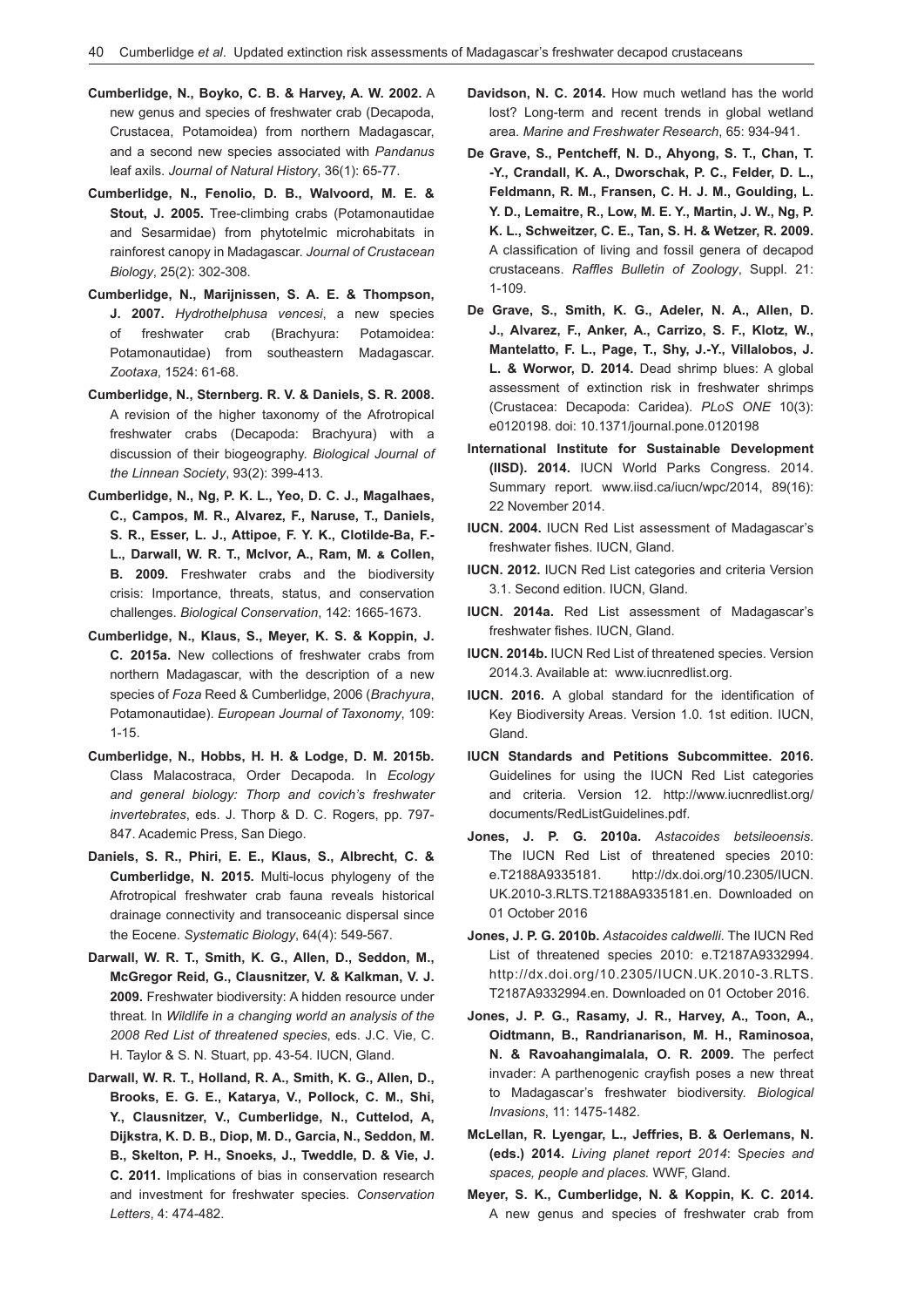- **Cumberlidge, N., Boyko, C. B. & Harvey, A. W. 2002.** A new genus and species of freshwater crab (Decapoda, Crustacea, Potamoidea) from northern Madagascar, and a second new species associated with *Pandanus* leaf axils. *Journal of Natural History*, 36(1): 65-77.
- **Cumberlidge, N., Fenolio, D. B., Walvoord, M. E. & Stout, J. 2005.** Tree-climbing crabs (Potamonautidae and Sesarmidae) from phytotelmic microhabitats in rainforest canopy in Madagascar. *Journal of Crustacean Biology*, 25(2): 302-308.
- **Cumberlidge, N., Marijnissen, S. A. E. & Thompson, J. 2007.** *Hydrothelphusa vencesi*, a new species of freshwater crab (Brachyura: Potamoidea: Potamonautidae) from southeastern Madagascar. *Zootaxa*, 1524: 61-68.
- **Cumberlidge, N., Sternberg. R. V. & Daniels, S. R. 2008.** A revision of the higher taxonomy of the Afrotropical freshwater crabs (Decapoda: Brachyura) with a discussion of their biogeography. *Biological Journal of the Linnean Society*, 93(2): 399-413.
- **Cumberlidge, N., Ng, P. K. L., Yeo, D. C. J., Magalhaes, C., Campos, M. R., Alvarez, F., Naruse, T., Daniels, S. R., Esser, L. J., Attipoe, F. Y. K., Clotilde-Ba, F.- L., Darwall, W. R. T., McIvor, A., Ram, M. & Collen, B. 2009.** Freshwater crabs and the biodiversity crisis: Importance, threats, status, and conservation challenges. *Biological Conservation*, 142: 1665-1673.
- **Cumberlidge, N., Klaus, S., Meyer, K. S. & Koppin, J. C. 2015a.** New collections of freshwater crabs from northern Madagascar, with the description of a new species of *Foza* Reed & Cumberlidge, 2006 (*Brachyura*, Potamonautidae). *European Journal of Taxonomy*, 109: 1-15.
- **Cumberlidge, N., Hobbs, H. H. & Lodge, D. M. 2015b.** Class Malacostraca, Order Decapoda*.* In *Ecology and general biology: Thorp and covich's freshwater invertebrates*, eds. J. Thorp & D. C. Rogers, pp. 797- 847. Academic Press, San Diego.
- **Daniels, S. R., Phiri, E. E., Klaus, S., Albrecht, C. & Cumberlidge, N. 2015.** Multi-locus phylogeny of the Afrotropical freshwater crab fauna reveals historical drainage connectivity and transoceanic dispersal since the Eocene. *Systematic Biology*, 64(4): 549-567.
- **Darwall, W. R. T., Smith, K. G., Allen, D., Seddon, M., McGregor Reid, G., Clausnitzer, V. & Kalkman, V. J. 2009.** Freshwater biodiversity: A hidden resource under threat. In *Wildlife in a changing world an analysis of the 2008 Red List of threatened species*, eds. J.C. Vie, C. H. Taylor & S. N. Stuart, pp. 43-54. IUCN, Gland.
- **Darwall, W. R. T., Holland, R. A., Smith, K. G., Allen, D., Brooks, E. G. E., Katarya, V., Pollock, C. M., Shi, Y., Clausnitzer, V., Cumberlidge, N., Cuttelod, A, Dijkstra, K. D. B., Diop, M. D., Garcia, N., Seddon, M. B., Skelton, P. H., Snoeks, J., Tweddle, D. & Vie, J. C. 2011.** Implications of bias in conservation research and investment for freshwater species. *Conservation Letters*, 4: 474-482.
- **Davidson, N. C. 2014.** How much wetland has the world lost? Long-term and recent trends in global wetland area. *Marine and Freshwater Research*, 65: 934-941.
- **De Grave, S., Pentcheff, N. D., Ahyong, S. T., Chan, T. -Y., Crandall, K. A., Dworschak, P. C., Felder, D. L., Feldmann, R. M., Fransen, C. H. J. M., Goulding, L. Y. D., Lemaitre, R., Low, M. E. Y., Martin, J. W., Ng, P. K. L., Schweitzer, C. E., Tan, S. H. & Wetzer, R. 2009.** A classification of living and fossil genera of decapod crustaceans. *Raffles Bulletin of Zoology*, Suppl. 21: 1-109.
- **De Grave, S., Smith, K. G., Adeler, N. A., Allen, D. J., Alvarez, F., Anker, A., Carrizo, S. F., Klotz, W., Mantelatto, F. L., Page, T., Shy, J.-Y., Villalobos, J. L. & Worwor, D. 2014.** Dead shrimp blues: A global assessment of extinction risk in freshwater shrimps (Crustacea: Decapoda: Caridea). *PLoS ONE* 10(3): e0120198. doi: 10.1371/journal.pone.0120198
- **International Institute for Sustainable Development (IISD). 2014.** IUCN World Parks Congress. 2014. Summary report. www.iisd.ca/iucn/wpc/2014, 89(16): 22 November 2014.
- **IUCN. 2004.** IUCN Red List assessment of Madagascar's freshwater fishes. IUCN, Gland.
- **IUCN. 2012.** IUCN Red List categories and criteria Version 3.1. Second edition. IUCN, Gland.
- **IUCN. 2014a.** Red List assessment of Madagascar's freshwater fishes. IUCN, Gland.
- **IUCN. 2014b.** IUCN Red List of threatened species. Version 2014.3. Available at: www.iucnredlist.org.
- **IUCN. 2016.** A global standard for the identification of Key Biodiversity Areas. Version 1.0. 1st edition. IUCN, Gland.
- **IUCN Standards and Petitions Subcommittee. 2016.**  Guidelines for using the IUCN Red List categories and criteria. Version 12. http://www.iucnredlist.org/ documents/RedListGuidelines.pdf.
- **Jones, J. P. G. 2010a.** *Astacoides betsileoensis*. The IUCN Red List of threatened species 2010: e.T2188A9335181. http://dx.doi.org/10.2305/IUCN. UK.2010-3.RLTS.T2188A9335181.en. Downloaded on 01 October 2016
- **Jones, J. P. G. 2010b.** *Astacoides caldwelli*. The IUCN Red List of threatened species 2010: e.T2187A9332994. http://dx.doi.org/10.2305/IUCN.UK.2010-3.RLTS. T2187A9332994.en. Downloaded on 01 October 2016.
- **Jones, J. P. G., Rasamy, J. R., Harvey, A., Toon, A., Oidtmann, B., Randrianarison, M. H., Raminosoa, N. & Ravoahangimalala, O. R. 2009.** The perfect invader: A parthenogenic crayfish poses a new threat to Madagascar's freshwater biodiversity. *Biological Invasions*, 11: 1475-1482.
- **McLellan, R. Lyengar, L., Jeffries, B. & Oerlemans, N. (eds.) 2014.** *Living planet report 2014*: S*pecies and spaces, people and places.* WWF, Gland.
- **Meyer, S. K., Cumberlidge, N. & Koppin, K. C. 2014.** A new genus and species of freshwater crab from